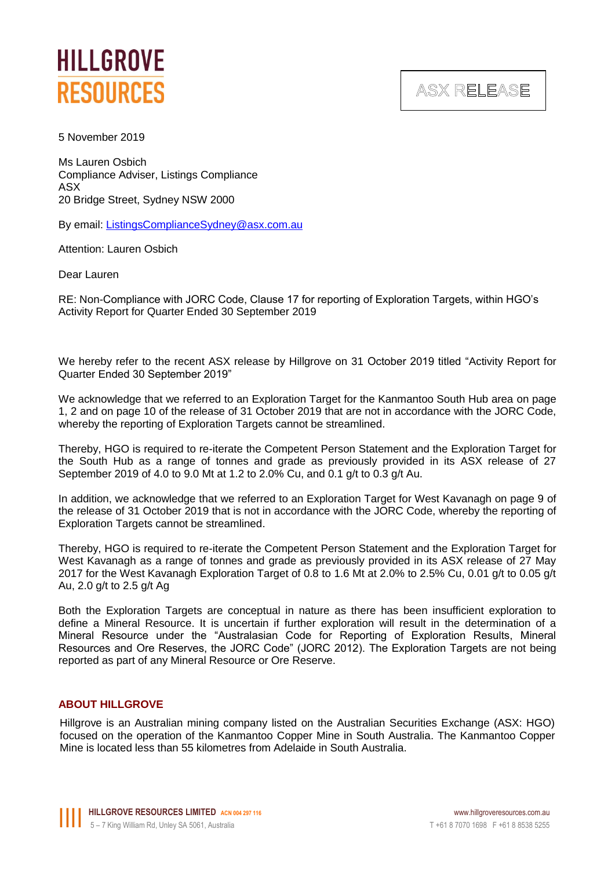

ASX RELEASE

5 November 2019

Ms Lauren Osbich Compliance Adviser, Listings Compliance ASX 20 Bridge Street, Sydney NSW 2000

By email: [ListingsComplianceSydney@asx.com.au](mailto:ListingsComplianceSydney@asx.com.au)

Attention: Lauren Osbich

Dear Lauren

RE: Non-Compliance with JORC Code, Clause 17 for reporting of Exploration Targets, within HGO's Activity Report for Quarter Ended 30 September 2019

We hereby refer to the recent ASX release by Hillgrove on 31 October 2019 titled "Activity Report for Quarter Ended 30 September 2019"

We acknowledge that we referred to an Exploration Target for the Kanmantoo South Hub area on page 1, 2 and on page 10 of the release of 31 October 2019 that are not in accordance with the JORC Code, whereby the reporting of Exploration Targets cannot be streamlined.

Thereby, HGO is required to re-iterate the Competent Person Statement and the Exploration Target for the South Hub as a range of tonnes and grade as previously provided in its ASX release of 27 September 2019 of 4.0 to 9.0 Mt at 1.2 to 2.0% Cu, and 0.1 g/t to 0.3 g/t Au.

In addition, we acknowledge that we referred to an Exploration Target for West Kavanagh on page 9 of the release of 31 October 2019 that is not in accordance with the JORC Code, whereby the reporting of Exploration Targets cannot be streamlined.

Thereby, HGO is required to re-iterate the Competent Person Statement and the Exploration Target for West Kavanagh as a range of tonnes and grade as previously provided in its ASX release of 27 May 2017 for the West Kavanagh Exploration Target of 0.8 to 1.6 Mt at 2.0% to 2.5% Cu, 0.01 g/t to 0.05 g/t Au, 2.0 g/t to 2.5 g/t Ag

Both the Exploration Targets are conceptual in nature as there has been insufficient exploration to define a Mineral Resource. It is uncertain if further exploration will result in the determination of a Mineral Resource under the "Australasian Code for Reporting of Exploration Results, Mineral Resources and Ore Reserves, the JORC Code" (JORC 2012). The Exploration Targets are not being reported as part of any Mineral Resource or Ore Reserve.

## **ABOUT HILLGROVE**

Hillgrove is an Australian mining company listed on the Australian Securities Exchange (ASX: HGO) focused on the operation of the Kanmantoo Copper Mine in South Australia. The Kanmantoo Copper Mine is located less than 55 kilometres from Adelaide in South Australia.